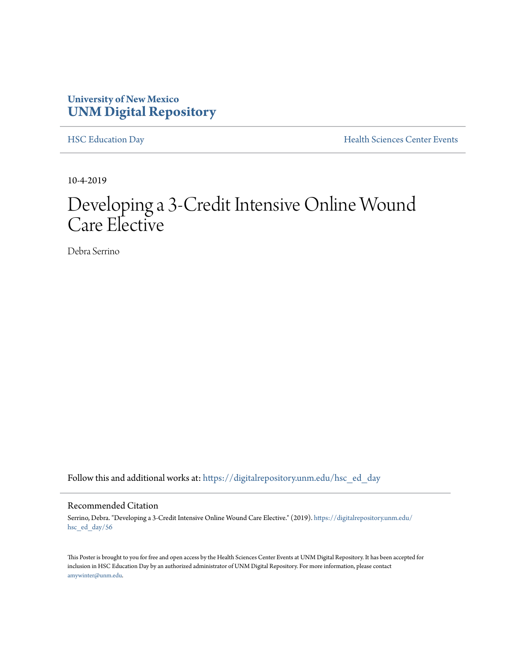### **University of New Mexico [UNM Digital Repository](https://digitalrepository.unm.edu/?utm_source=digitalrepository.unm.edu%2Fhsc_ed_day%2F56&utm_medium=PDF&utm_campaign=PDFCoverPages)**

[HSC Education Day](https://digitalrepository.unm.edu/hsc_ed_day?utm_source=digitalrepository.unm.edu%2Fhsc_ed_day%2F56&utm_medium=PDF&utm_campaign=PDFCoverPages) **[Health Sciences Center Events](https://digitalrepository.unm.edu/hsc_events?utm_source=digitalrepository.unm.edu%2Fhsc_ed_day%2F56&utm_medium=PDF&utm_campaign=PDFCoverPages)** 

10-4-2019

### Developing a 3-Credit Intensive Online Wound Care Elective

Debra Serrino

Follow this and additional works at: [https://digitalrepository.unm.edu/hsc\\_ed\\_day](https://digitalrepository.unm.edu/hsc_ed_day?utm_source=digitalrepository.unm.edu%2Fhsc_ed_day%2F56&utm_medium=PDF&utm_campaign=PDFCoverPages)

### Recommended Citation

Serrino, Debra. "Developing a 3-Credit Intensive Online Wound Care Elective." (2019). [https://digitalrepository.unm.edu/](https://digitalrepository.unm.edu/hsc_ed_day/56?utm_source=digitalrepository.unm.edu%2Fhsc_ed_day%2F56&utm_medium=PDF&utm_campaign=PDFCoverPages) [hsc\\_ed\\_day/56](https://digitalrepository.unm.edu/hsc_ed_day/56?utm_source=digitalrepository.unm.edu%2Fhsc_ed_day%2F56&utm_medium=PDF&utm_campaign=PDFCoverPages)

This Poster is brought to you for free and open access by the Health Sciences Center Events at UNM Digital Repository. It has been accepted for inclusion in HSC Education Day by an authorized administrator of UNM Digital Repository. For more information, please contact [amywinter@unm.edu](mailto:amywinter@unm.edu).